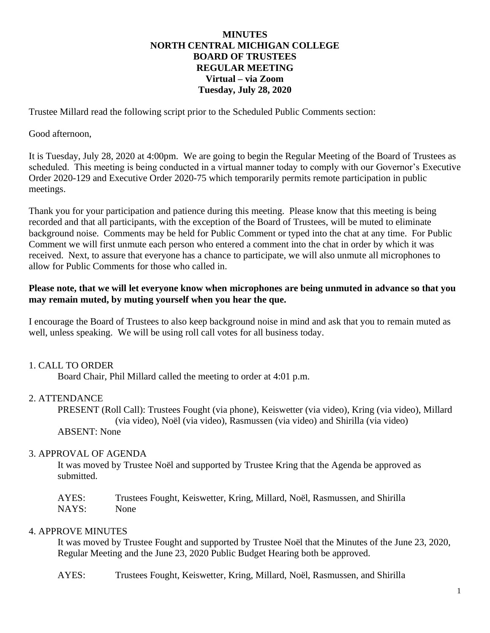# **MINUTES NORTH CENTRAL MICHIGAN COLLEGE BOARD OF TRUSTEES REGULAR MEETING Virtual – via Zoom Tuesday, July 28, 2020**

Trustee Millard read the following script prior to the Scheduled Public Comments section:

## Good afternoon,

It is Tuesday, July 28, 2020 at 4:00pm. We are going to begin the Regular Meeting of the Board of Trustees as scheduled. This meeting is being conducted in a virtual manner today to comply with our Governor's Executive Order 2020-129 and Executive Order 2020-75 which temporarily permits remote participation in public meetings.

Thank you for your participation and patience during this meeting. Please know that this meeting is being recorded and that all participants, with the exception of the Board of Trustees, will be muted to eliminate background noise. Comments may be held for Public Comment or typed into the chat at any time. For Public Comment we will first unmute each person who entered a comment into the chat in order by which it was received. Next, to assure that everyone has a chance to participate, we will also unmute all microphones to allow for Public Comments for those who called in.

## **Please note, that we will let everyone know when microphones are being unmuted in advance so that you may remain muted, by muting yourself when you hear the que.**

I encourage the Board of Trustees to also keep background noise in mind and ask that you to remain muted as well, unless speaking. We will be using roll call votes for all business today.

# 1. CALL TO ORDER

Board Chair, Phil Millard called the meeting to order at 4:01 p.m.

#### 2. ATTENDANCE

PRESENT (Roll Call): Trustees Fought (via phone), Keiswetter (via video), Kring (via video), Millard (via video), Noël (via video), Rasmussen (via video) and Shirilla (via video) ABSENT: None

## 3. APPROVAL OF AGENDA

It was moved by Trustee Noël and supported by Trustee Kring that the Agenda be approved as submitted.

AYES: Trustees Fought, Keiswetter, Kring, Millard, Noël, Rasmussen, and Shirilla NAYS: None

# 4. APPROVE MINUTES

It was moved by Trustee Fought and supported by Trustee Noël that the Minutes of the June 23, 2020, Regular Meeting and the June 23, 2020 Public Budget Hearing both be approved.

AYES: Trustees Fought, Keiswetter, Kring, Millard, Noël, Rasmussen, and Shirilla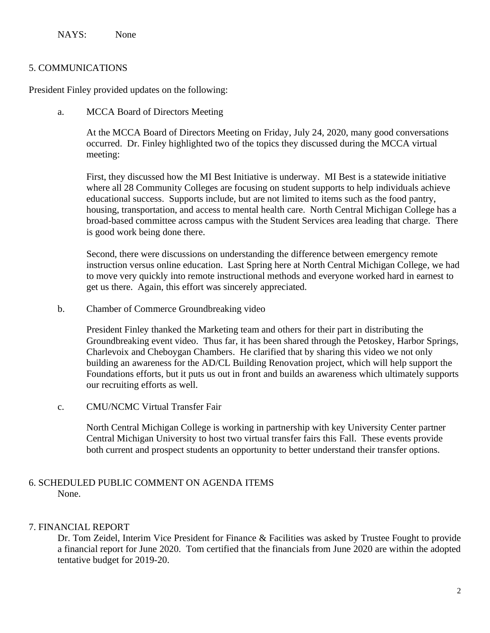NAYS: None

## 5. COMMUNICATIONS

President Finley provided updates on the following:

a. MCCA Board of Directors Meeting

At the MCCA Board of Directors Meeting on Friday, July 24, 2020, many good conversations occurred. Dr. Finley highlighted two of the topics they discussed during the MCCA virtual meeting:

First, they discussed how the MI Best Initiative is underway. MI Best is a statewide initiative where all 28 Community Colleges are focusing on student supports to help individuals achieve educational success. Supports include, but are not limited to items such as the food pantry, housing, transportation, and access to mental health care. North Central Michigan College has a broad-based committee across campus with the Student Services area leading that charge. There is good work being done there.

Second, there were discussions on understanding the difference between emergency remote instruction versus online education. Last Spring here at North Central Michigan College, we had to move very quickly into remote instructional methods and everyone worked hard in earnest to get us there. Again, this effort was sincerely appreciated.

b. Chamber of Commerce Groundbreaking video

President Finley thanked the Marketing team and others for their part in distributing the Groundbreaking event video. Thus far, it has been shared through the Petoskey, Harbor Springs, Charlevoix and Cheboygan Chambers. He clarified that by sharing this video we not only building an awareness for the AD/CL Building Renovation project, which will help support the Foundations efforts, but it puts us out in front and builds an awareness which ultimately supports our recruiting efforts as well.

c. CMU/NCMC Virtual Transfer Fair

North Central Michigan College is working in partnership with key University Center partner Central Michigan University to host two virtual transfer fairs this Fall. These events provide both current and prospect students an opportunity to better understand their transfer options.

# 6. SCHEDULED PUBLIC COMMENT ON AGENDA ITEMS None.

# 7. FINANCIAL REPORT

Dr. Tom Zeidel, Interim Vice President for Finance & Facilities was asked by Trustee Fought to provide a financial report for June 2020. Tom certified that the financials from June 2020 are within the adopted tentative budget for 2019-20.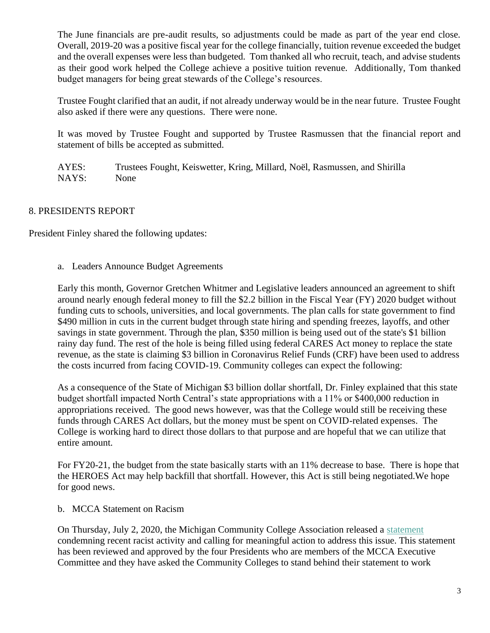The June financials are pre-audit results, so adjustments could be made as part of the year end close. Overall, 2019-20 was a positive fiscal year for the college financially, tuition revenue exceeded the budget and the overall expenses were less than budgeted. Tom thanked all who recruit, teach, and advise students as their good work helped the College achieve a positive tuition revenue. Additionally, Tom thanked budget managers for being great stewards of the College's resources.

Trustee Fought clarified that an audit, if not already underway would be in the near future. Trustee Fought also asked if there were any questions. There were none.

It was moved by Trustee Fought and supported by Trustee Rasmussen that the financial report and statement of bills be accepted as submitted.

AYES: Trustees Fought, Keiswetter, Kring, Millard, Noël, Rasmussen, and Shirilla NAYS: None

# 8. PRESIDENTS REPORT

President Finley shared the following updates:

a. Leaders Announce Budget Agreements

Early this month, Governor Gretchen Whitmer and Legislative leaders announced an agreement to shift around nearly enough federal money to fill the \$2.2 billion in the Fiscal Year (FY) 2020 budget without funding cuts to schools, universities, and local governments. The plan calls for state government to find \$490 million in cuts in the current budget through state hiring and spending freezes, layoffs, and other savings in state government. Through the plan, \$350 million is being used out of the state's \$1 billion rainy day fund. The rest of the hole is being filled using federal CARES Act money to replace the state revenue, as the state is claiming \$3 billion in Coronavirus Relief Funds (CRF) have been used to address the costs incurred from facing COVID-19. Community colleges can expect the following:

As a consequence of the State of Michigan \$3 billion dollar shortfall, Dr. Finley explained that this state budget shortfall impacted North Central's state appropriations with a 11% or \$400,000 reduction in appropriations received. The good news however, was that the College would still be receiving these funds through CARES Act dollars, but the money must be spent on COVID-related expenses. The College is working hard to direct those dollars to that purpose and are hopeful that we can utilize that entire amount.

For FY20-21, the budget from the state basically starts with an 11% decrease to base. There is hope that the HEROES Act may help backfill that shortfall. However, this Act is still being negotiated.We hope for good news.

b. MCCA Statement on Racism

On Thursday, July 2, 2020, the Michigan Community College Association released a [statement](http://r20.rs6.net/tn.jsp?f=001HTAqj9uzMild86liRGakMj3vkBB2zUdJiv4nNXZY7xFe49mQCJ6rg3Xp0owKaKEpZ6kxRNWQ4OKR4bwJaDCU1Qh8zVbDlC4UOsBT6pKiUDzGoWwYEnrHnQBWt71voQd7C3xPnhJzS_58Xv_C6SLOjoWYdvLxTr_DpsOPQR61y0q-2zCPaKuVesttOYpZrpxAo_CovNPOWyRXplbGnBYXaI1d323z4MqvCaUjWOvmJyE=&c=DE7I1zEUmOo4eqmzX2Pc8GeuBhgS1JxnnAIzqBlKXgIqSm8C8-Q52w==&ch=w8WbtXgJy3QDRKK8Tk5vjgdEPlYFhLDVTFHPyFad5vQboSOjL-m9lQ==) condemning recent racist activity and calling for meaningful action to address this issue. This statement has been reviewed and approved by the four Presidents who are members of the MCCA Executive Committee and they have asked the Community Colleges to stand behind their statement to work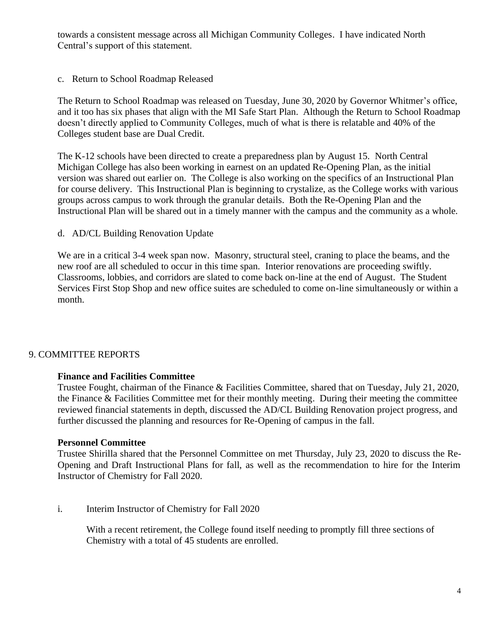towards a consistent message across all Michigan Community Colleges. I have indicated North Central's support of this statement.

c. Return to School Roadmap Released

The Return to School Roadmap was released on Tuesday, June 30, 2020 by Governor Whitmer's office, and it too has six phases that align with the MI Safe Start Plan. Although the Return to School Roadmap doesn't directly applied to Community Colleges, much of what is there is relatable and 40% of the Colleges student base are Dual Credit.

The K-12 schools have been directed to create a preparedness plan by August 15. North Central Michigan College has also been working in earnest on an updated Re-Opening Plan, as the initial version was shared out earlier on. The College is also working on the specifics of an Instructional Plan for course delivery. This Instructional Plan is beginning to crystalize, as the College works with various groups across campus to work through the granular details. Both the Re-Opening Plan and the Instructional Plan will be shared out in a timely manner with the campus and the community as a whole.

## d. AD/CL Building Renovation Update

We are in a critical 3-4 week span now. Masonry, structural steel, craning to place the beams, and the new roof are all scheduled to occur in this time span. Interior renovations are proceeding swiftly. Classrooms, lobbies, and corridors are slated to come back on-line at the end of August. The Student Services First Stop Shop and new office suites are scheduled to come on-line simultaneously or within a month.

# 9. COMMITTEE REPORTS

#### **Finance and Facilities Committee**

Trustee Fought, chairman of the Finance & Facilities Committee, shared that on Tuesday, July 21, 2020, the Finance & Facilities Committee met for their monthly meeting. During their meeting the committee reviewed financial statements in depth, discussed the AD/CL Building Renovation project progress, and further discussed the planning and resources for Re-Opening of campus in the fall.

#### **Personnel Committee**

Trustee Shirilla shared that the Personnel Committee on met Thursday, July 23, 2020 to discuss the Re-Opening and Draft Instructional Plans for fall, as well as the recommendation to hire for the Interim Instructor of Chemistry for Fall 2020.

#### i. Interim Instructor of Chemistry for Fall 2020

With a recent retirement, the College found itself needing to promptly fill three sections of Chemistry with a total of 45 students are enrolled.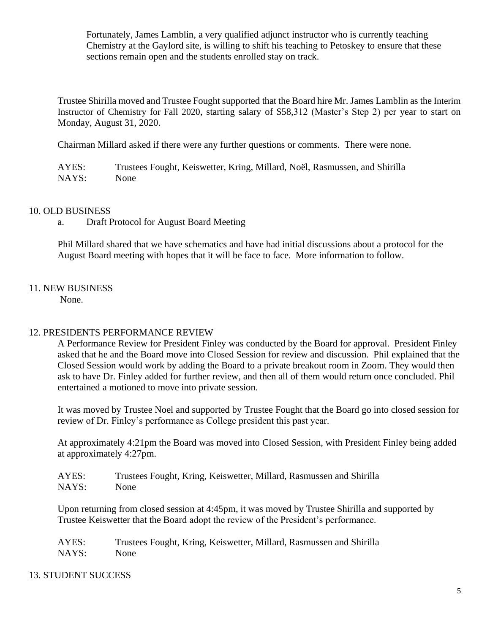Fortunately, James Lamblin, a very qualified adjunct instructor who is currently teaching Chemistry at the Gaylord site, is willing to shift his teaching to Petoskey to ensure that these sections remain open and the students enrolled stay on track.

Trustee Shirilla moved and Trustee Fought supported that the Board hire Mr. James Lamblin as the Interim Instructor of Chemistry for Fall 2020, starting salary of \$58,312 (Master's Step 2) per year to start on Monday, August 31, 2020.

Chairman Millard asked if there were any further questions or comments. There were none.

AYES: Trustees Fought, Keiswetter, Kring, Millard, Noël, Rasmussen, and Shirilla NAYS: None

## 10. OLD BUSINESS

a. Draft Protocol for August Board Meeting

Phil Millard shared that we have schematics and have had initial discussions about a protocol for the August Board meeting with hopes that it will be face to face. More information to follow.

# 11. NEW BUSINESS

None.

# 12. PRESIDENTS PERFORMANCE REVIEW

A Performance Review for President Finley was conducted by the Board for approval. President Finley asked that he and the Board move into Closed Session for review and discussion. Phil explained that the Closed Session would work by adding the Board to a private breakout room in Zoom. They would then ask to have Dr. Finley added for further review, and then all of them would return once concluded. Phil entertained a motioned to move into private session.

It was moved by Trustee Noel and supported by Trustee Fought that the Board go into closed session for review of Dr. Finley's performance as College president this past year.

At approximately 4:21pm the Board was moved into Closed Session, with President Finley being added at approximately 4:27pm.

| AYES: | Trustees Fought, Kring, Keiswetter, Millard, Rasmussen and Shirilla |
|-------|---------------------------------------------------------------------|
| NAYS: | None                                                                |

Upon returning from closed session at 4:45pm, it was moved by Trustee Shirilla and supported by Trustee Keiswetter that the Board adopt the review of the President's performance.

AYES: Trustees Fought, Kring, Keiswetter, Millard, Rasmussen and Shirilla NAYS: None

# 13. STUDENT SUCCESS